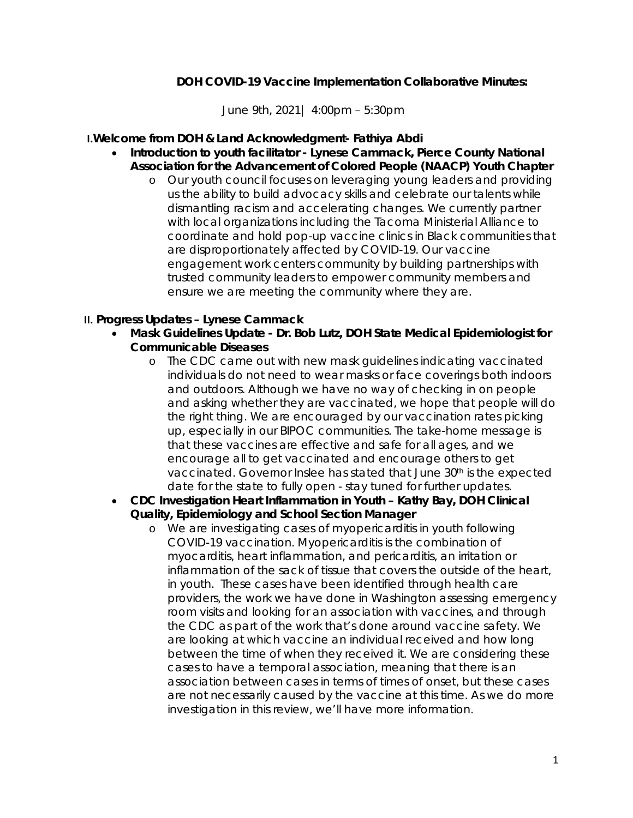### **DOH COVID-19 Vaccine Implementation Collaborative Minutes:**

June 9th, 2021| 4:00pm – 5:30pm

#### **I.Welcome from DOH & Land Acknowledgment- Fathiya Abdi**

- **Introduction to youth facilitator Lynese Cammack, Pierce County National Association for the Advancement of Colored People (NAACP) Youth Chapter**
	- o Our youth council focuses on leveraging young leaders and providing us the ability to build advocacy skills and celebrate our talents while dismantling racism and accelerating changes. We currently partner with local organizations including the Tacoma Ministerial Alliance to coordinate and hold pop-up vaccine clinics in Black communities that are disproportionately affected by COVID-19. Our vaccine engagement work centers community by building partnerships with trusted community leaders to empower community members and ensure we are meeting the community where they are.

#### **II. Progress Updates – Lynese Cammack**

- **Mask Guidelines Update Dr. Bob Lutz, DOH State Medical Epidemiologist for Communicable Diseases** 
	- o The CDC came out with new mask guidelines indicating vaccinated individuals do not need to wear masks or face coverings both indoors and outdoors. Although we have no way of checking in on people and asking whether they are vaccinated, we hope that people will do the right thing. We are encouraged by our vaccination rates picking up, especially in our BIPOC communities. The take-home message is that these vaccines are effective and safe for all ages, and we encourage all to get vaccinated and encourage others to get vaccinated. Governor Inslee has stated that June 30<sup>th</sup> is the expected date for the state to fully open - stay tuned for further updates.
- **CDC Investigation Heart Inflammation in Youth Kathy Bay, DOH Clinical Quality, Epidemiology and School Section Manager** 
	- o We are investigating cases of myopericarditis in youth following COVID-19 vaccination. Myopericarditis is the combination of myocarditis, heart inflammation, and pericarditis, an irritation or inflammation of the sack of tissue that covers the outside of the heart, in youth. These cases have been identified through health care providers, the work we have done in Washington assessing emergency room visits and looking for an association with vaccines, and through the CDC as part of the work that's done around vaccine safety. We are looking at which vaccine an individual received and how long between the time of when they received it. We are considering these cases to have a temporal association, meaning that there is an association between cases in terms of times of onset, but these cases are not necessarily caused by the vaccine at this time. As we do more investigation in this review, we'll have more information.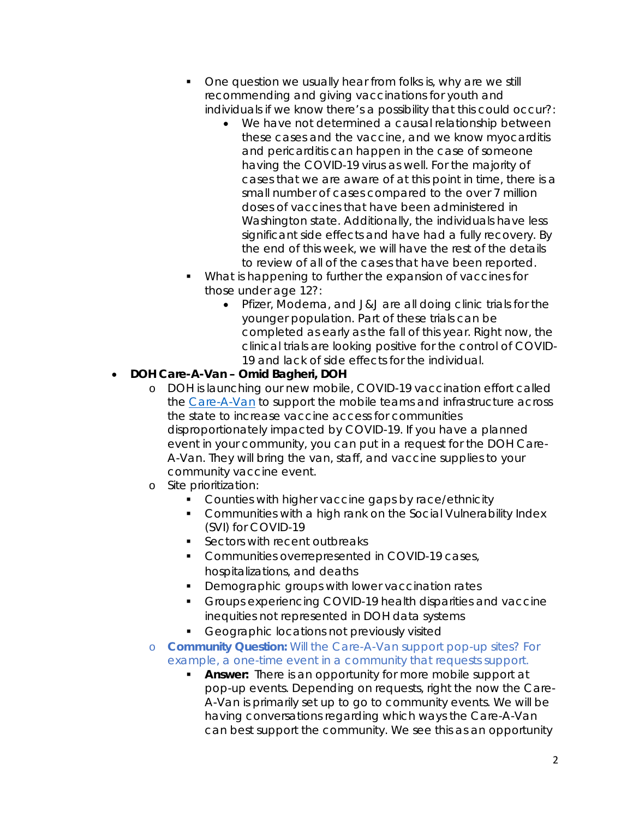- One question we usually hear from folks is, why are we still recommending and giving vaccinations for youth and individuals if we know there's a possibility that this could occur?:
	- We have not determined a causal relationship between these cases and the vaccine, and we know myocarditis and pericarditis can happen in the case of someone having the COVID-19 virus as well. For the majority of cases that we are aware of at this point in time, there is a small number of cases compared to the over 7 million doses of vaccines that have been administered in Washington state. Additionally, the individuals have less significant side effects and have had a fully recovery. By the end of this week, we will have the rest of the details to review of all of the cases that have been reported.
- What is happening to further the expansion of vaccines for those under age 12?:
	- Pfizer, Moderna, and J&J are all doing clinic trials for the younger population. Part of these trials can be completed as early as the fall of this year. Right now, the clinical trials are looking positive for the control of COVID-19 and lack of side effects for the individual.

## • **DOH Care-A-Van – Omid Bagheri, DOH**

- o DOH is launching our new mobile, COVID-19 vaccination effort called the [Care-A-Van](https://www.doh.wa.gov/Emergencies/COVID19/Vaccine/CareaVan) to support the mobile teams and infrastructure across the state to increase vaccine access for communities disproportionately impacted by COVID-19. If you have a planned event in your community, you can put in a request for the DOH Care-A-Van. They will bring the van, staff, and vaccine supplies to your community vaccine event.
- o Site prioritization:
	- **Counties with higher vaccine gaps by race/ethnicity**
	- **Communities with a high rank on the Social Vulnerability Index** (SVI) for COVID-19
	- Sectors with recent outbreaks
	- **Communities overrepresented in COVID-19 cases,** hospitalizations, and deaths
	- Demographic groups with lower vaccination rates
	- **Groups experiencing COVID-19 health disparities and vaccine** inequities not represented in DOH data systems
	- Geographic locations not previously visited
- o *Community Question: Will the Care-A-Van support pop-up sites? For example, a one-time event in a community that requests support.* 
	- **Answer:** There is an opportunity for more mobile support at pop-up events. Depending on requests, right the now the Care-A-Van is primarily set up to go to community events. We will be having conversations regarding which ways the Care-A-Van can best support the community. We see this as an opportunity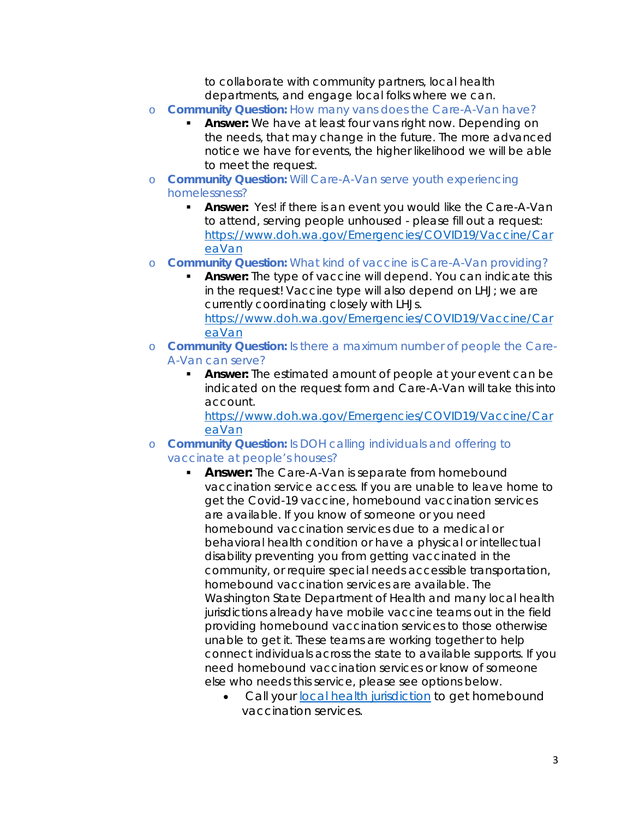to collaborate with community partners, local health departments, and engage local folks where we can.

- o *Community Question: How many vans does the Care-A-Van have?* 
	- **Answer:** We have at least four vans right now. Depending on the needs, that may change in the future. The more advanced notice we have for events, the higher likelihood we will be able to meet the request.
- o *Community Question: Will Care-A-Van serve youth experiencing homelessness?*
	- **Answer:** Yes! if there is an event you would like the Care-A-Van to attend, serving people unhoused - please fill out a request: [https://www.doh.wa.gov/Emergencies/COVID19/Vaccine/Car](https://www.doh.wa.gov/Emergencies/COVID19/Vaccine/CareaVan) [eaVan](https://www.doh.wa.gov/Emergencies/COVID19/Vaccine/CareaVan)
- o *Community Question: What kind of vaccine is Care-A-Van providing?*
	- **Answer:** The type of vaccine will depend. You can indicate this in the request! Vaccine type will also depend on LHJ; we are currently coordinating closely with LHJs. [https://www.doh.wa.gov/Emergencies/COVID19/Vaccine/Car](https://www.doh.wa.gov/Emergencies/COVID19/Vaccine/CareaVan) [eaVan](https://www.doh.wa.gov/Emergencies/COVID19/Vaccine/CareaVan)
- o *Community Question: Is there a maximum number of people the Care-A-Van can serve?* 
	- **Answer:** The estimated amount of people at your event can be indicated on the request form and Care-A-Van will take this into account.

[https://www.doh.wa.gov/Emergencies/COVID19/Vaccine/Car](https://www.doh.wa.gov/Emergencies/COVID19/Vaccine/CareaVan) [eaVan](https://www.doh.wa.gov/Emergencies/COVID19/Vaccine/CareaVan)

- o *Community Question: Is DOH calling individuals and offering to vaccinate at people's houses?* 
	- **Answer:** The Care-A-Van is separate from homebound vaccination service access. If you are unable to leave home to get the Covid-19 vaccine, homebound vaccination services are available. If you know of someone or you need homebound vaccination services due to a medical or behavioral health condition or have a physical or intellectual disability preventing you from getting vaccinated in the community, or require special needs accessible transportation, homebound vaccination services are available. The Washington State Department of Health and many local health jurisdictions already have mobile vaccine teams out in the field providing homebound vaccination services to those otherwise unable to get it. These teams are working together to help connect individuals across the state to available supports. If you need homebound vaccination services or know of someone else who needs this service, please see options below.
		- Call your [local health jurisdiction](https://www.doh.wa.gov/AboutUs/PublicHealthSystem/LocalHealthJurisdictions) to get homebound vaccination services.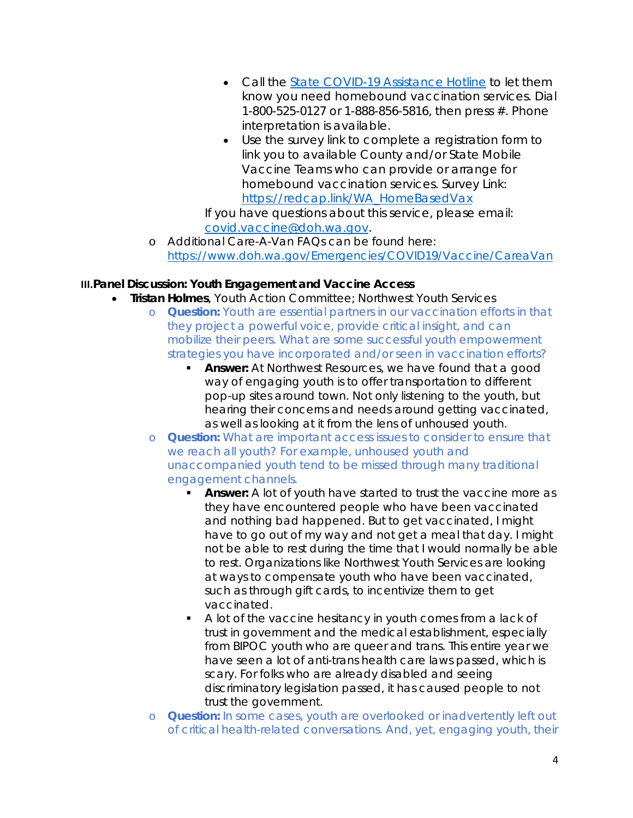- Call the **State COVID-19** Assistance Hotline to let them know you need homebound vaccination services. Dial 1-800-525-0127 or 1-888-856-5816, then press #. Phone interpretation is available.
- Use the survey link to complete a registration form to link you to available County and/or State Mobile Vaccine Teams who can provide or arrange for homebound vaccination services. Survey Link: [https://redcap.link/WA\\_HomeBasedVax](https://redcap.link/WA_HomeBasedVax)

If you have questions about this service, please email: [covid.vaccine@doh.wa.gov.](mailto:covid.vaccine@doh.wa.gov)

o Additional Care-A-Van FAQs can be found here: <https://www.doh.wa.gov/Emergencies/COVID19/Vaccine/CareaVan>

## **III.Panel Discussion: Youth Engagement and Vaccine Access**

- **Tristan Holmes**, Youth Action Committee; Northwest Youth Services
	- o *Question: Youth are essential partners in our vaccination efforts in that they project a powerful voice, provide critical insight, and can mobilize their peers. What are some successful youth empowerment strategies you have incorporated and/or seen in vaccination efforts?*
		- **Answer:** At Northwest Resources, we have found that a good way of engaging youth is to offer transportation to different pop-up sites around town. Not only listening to the youth, but hearing their concerns and needs around getting vaccinated, as well as looking at it from the lens of unhoused youth.
	- o *Question: What are important access issues to consider to ensure that we reach all youth? For example, unhoused youth and unaccompanied youth tend to be missed through many traditional engagement channels.*
		- **Answer:** A lot of youth have started to trust the vaccine more as they have encountered people who have been vaccinated and nothing bad happened. But to get vaccinated, I might have to go out of my way and not get a meal that day. I might not be able to rest during the time that I would normally be able to rest. Organizations like Northwest Youth Services are looking at ways to compensate youth who have been vaccinated, such as through gift cards, to incentivize them to get vaccinated.
		- A lot of the vaccine hesitancy in youth comes from a lack of trust in government and the medical establishment, especially from BIPOC youth who are queer and trans. This entire year we have seen a lot of anti-trans health care laws passed, which is scary. For folks who are already disabled and seeing discriminatory legislation passed, it has caused people to not trust the government.
	- o *Question: In some cases, youth are overlooked or inadvertently left out of critical health-related conversations. And, yet, engaging youth, their*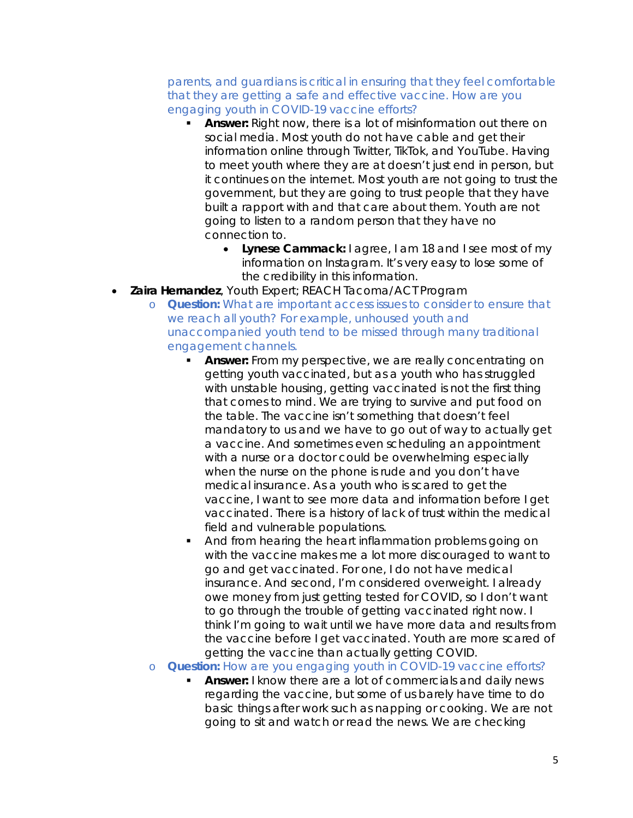*parents, and guardians is critical in ensuring that they feel comfortable that they are getting a safe and effective vaccine. How are you engaging youth in COVID-19 vaccine efforts?*

- **Answer:** Right now, there is a lot of misinformation out there on social media. Most youth do not have cable and get their information online through Twitter, TikTok, and YouTube. Having to meet youth where they are at doesn't just end in person, but it continues on the internet. Most youth are not going to trust the government, but they are going to trust people that they have built a rapport with and that care about them. Youth are not going to listen to a random person that they have no connection to.
	- **Lynese Cammack:** I agree, I am 18 and I see most of my information on Instagram. It's very easy to lose some of the credibility in this information.
- **Zaira Hernandez**, Youth Expert; REACH Tacoma/ACT Program
	- o *Question: What are important access issues to consider to ensure that we reach all youth? For example, unhoused youth and unaccompanied youth tend to be missed through many traditional engagement channels.*
		- **Answer:** From my perspective, we are really concentrating on getting youth vaccinated, but as a youth who has struggled with unstable housing, getting vaccinated is not the first thing that comes to mind. We are trying to survive and put food on the table. The vaccine isn't something that doesn't feel mandatory to us and we have to go out of way to actually get a vaccine. And sometimes even scheduling an appointment with a nurse or a doctor could be overwhelming especially when the nurse on the phone is rude and you don't have medical insurance. As a youth who is scared to get the vaccine, I want to see more data and information before I get vaccinated. There is a history of lack of trust within the medical field and vulnerable populations.
		- And from hearing the heart inflammation problems going on with the vaccine makes me a lot more discouraged to want to go and get vaccinated. For one, I do not have medical insurance. And second, I'm considered overweight. I already owe money from just getting tested for COVID, so I don't want to go through the trouble of getting vaccinated right now. I think I'm going to wait until we have more data and results from the vaccine before I get vaccinated. Youth are more scared of getting the vaccine than actually getting COVID.
	- o *Question: How are you engaging youth in COVID-19 vaccine efforts?*
		- **Answer:** I know there are a lot of commercials and daily news regarding the vaccine, but some of us barely have time to do basic things after work such as napping or cooking. We are not going to sit and watch or read the news. We are checking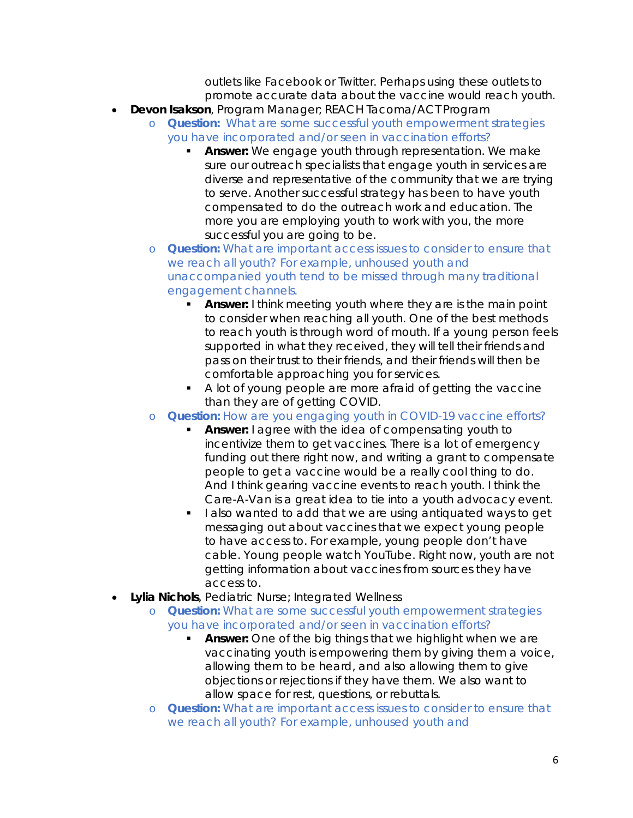outlets like Facebook or Twitter. Perhaps using these outlets to promote accurate data about the vaccine would reach youth.

- **Devon Isakson**, Program Manager; REACH Tacoma/ACT Program
	- o *Question: What are some successful youth empowerment strategies you have incorporated and/or seen in vaccination efforts?*
		- **Answer:** We engage youth through representation. We make sure our outreach specialists that engage youth in services are diverse and representative of the community that we are trying to serve. Another successful strategy has been to have youth compensated to do the outreach work and education. The more you are employing youth to work with you, the more successful you are going to be.
	- o *Question: What are important access issues to consider to ensure that we reach all youth? For example, unhoused youth and unaccompanied youth tend to be missed through many traditional engagement channels.*
		- **Answer:** I think meeting youth where they are is the main point to consider when reaching all youth. One of the best methods to reach youth is through word of mouth. If a young person feels supported in what they received, they will tell their friends and pass on their trust to their friends, and their friends will then be comfortable approaching you for services.
		- $\blacksquare$  A lot of young people are more afraid of getting the vaccine than they are of getting COVID.
	- o *Question: How are you engaging youth in COVID-19 vaccine efforts?*
		- **Answer:** I agree with the idea of compensating youth to incentivize them to get vaccines. There is a lot of emergency funding out there right now, and writing a grant to compensate people to get a vaccine would be a really cool thing to do. And I think gearing vaccine events to reach youth. I think the Care-A-Van is a great idea to tie into a youth advocacy event.
		- I also wanted to add that we are using antiquated ways to get messaging out about vaccines that we expect young people to have access to. For example, young people don't have cable. Young people watch YouTube. Right now, youth are not getting information about vaccines from sources they have access to.
- **Lylia Nichols**, Pediatric Nurse; Integrated Wellness
	- o *Question: What are some successful youth empowerment strategies you have incorporated and/or seen in vaccination efforts?*
		- **Answer:** One of the big things that we highlight when we are vaccinating youth is empowering them by giving them a voice, allowing them to be heard, and also allowing them to give objections or rejections if they have them. We also want to allow space for rest, questions, or rebuttals.
	- o *Question: What are important access issues to consider to ensure that we reach all youth? For example, unhoused youth and*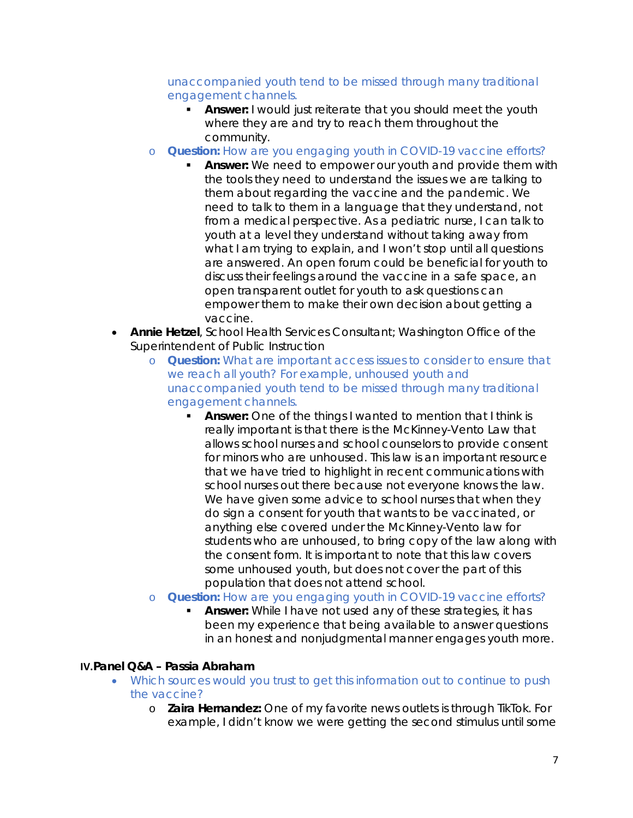### *unaccompanied youth tend to be missed through many traditional engagement channels.*

- **Answer:** I would just reiterate that you should meet the youth where they are and try to reach them throughout the community.
- o *Question: How are you engaging youth in COVID-19 vaccine efforts?*
	- **Answer:** We need to empower our youth and provide them with the tools they need to understand the issues we are talking to them about regarding the vaccine and the pandemic. We need to talk to them in a language that they understand, not from a medical perspective. As a pediatric nurse, I can talk to youth at a level they understand without taking away from what I am trying to explain, and I won't stop until all questions are answered. An open forum could be beneficial for youth to discuss their feelings around the vaccine in a safe space, an open transparent outlet for youth to ask questions can empower them to make their own decision about getting a vaccine.
- **Annie Hetzel**, School Health Services Consultant; Washington Office of the Superintendent of Public Instruction
	- o *Question: What are important access issues to consider to ensure that we reach all youth? For example, unhoused youth and unaccompanied youth tend to be missed through many traditional engagement channels.*
		- **Answer:** One of the things I wanted to mention that I think is really important is that there is the McKinney-Vento Law that allows school nurses and school counselors to provide consent for minors who are unhoused. This law is an important resource that we have tried to highlight in recent communications with school nurses out there because not everyone knows the law. We have given some advice to school nurses that when they do sign a consent for youth that wants to be vaccinated, or anything else covered under the McKinney-Vento law for students who are unhoused, to bring copy of the law along with the consent form. It is important to note that this law covers some unhoused youth, but does not cover the part of this population that does not attend school.
	- o *Question: How are you engaging youth in COVID-19 vaccine efforts?*
		- **Answer:** While I have not used any of these strategies, it has been my experience that being available to answer questions in an honest and nonjudgmental manner engages youth more.

### **IV.Panel Q&A – Passia Abraham**

- *Which sources would you trust to get this information out to continue to push the vaccine?*
	- o **Zaira Hernandez:** One of my favorite news outlets is through TikTok. For example, I didn't know we were getting the second stimulus until some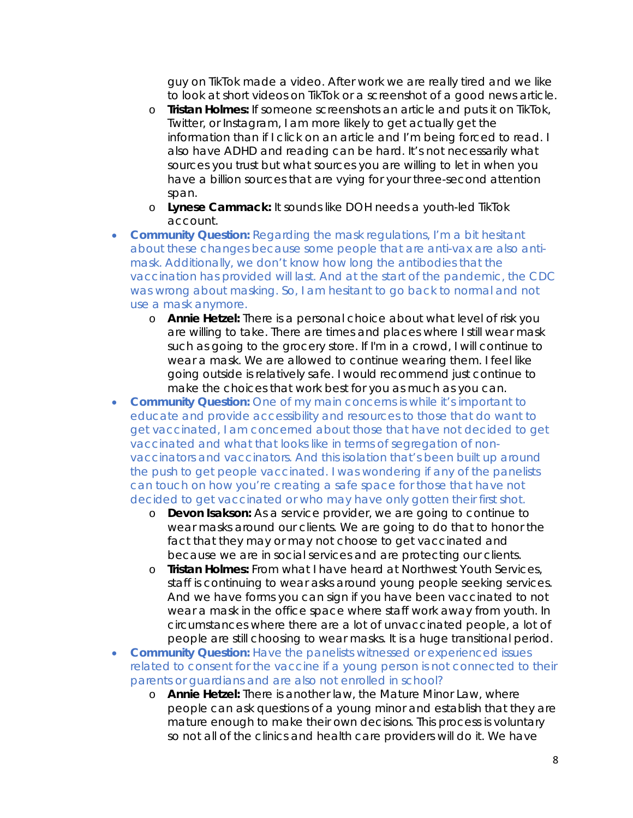guy on TikTok made a video. After work we are really tired and we like to look at short videos on TikTok or a screenshot of a good news article.

- o **Tristan Holmes:** If someone screenshots an article and puts it on TikTok, Twitter, or Instagram, I am more likely to get actually get the information than if I click on an article and I'm being forced to read. I also have ADHD and reading can be hard. It's not necessarily what sources you trust but what sources you are willing to let in when you have a billion sources that are vying for your three-second attention span.
- o **Lynese Cammack:** It sounds like DOH needs a youth-led TikTok account.
- *Community Question: Regarding the mask regulations, I'm a bit hesitant about these changes because some people that are anti-vax are also antimask. Additionally, we don't know how long the antibodies that the vaccination has provided will last. And at the start of the pandemic, the CDC was wrong about masking. So, I am hesitant to go back to normal and not use a mask anymore.* 
	- o **Annie Hetzel:** There is a personal choice about what level of risk you are willing to take. There are times and places where I still wear mask such as going to the grocery store. If I'm in a crowd, I will continue to wear a mask. We are allowed to continue wearing them. I feel like going outside is relatively safe. I would recommend just continue to make the choices that work best for you as much as you can.
- *Community Question: One of my main concerns is while it's important to educate and provide accessibility and resources to those that do want to get vaccinated, I am concerned about those that have not decided to get vaccinated and what that looks like in terms of segregation of nonvaccinators and vaccinators. And this isolation that's been built up around the push to get people vaccinated. I was wondering if any of the panelists can touch on how you're creating a safe space for those that have not decided to get vaccinated or who may have only gotten their first shot.* 
	- o **Devon Isakson:** As a service provider, we are going to continue to wear masks around our clients. We are going to do that to honor the fact that they may or may not choose to get vaccinated and because we are in social services and are protecting our clients.
	- o **Tristan Holmes:** From what I have heard at Northwest Youth Services, staff is continuing to wear asks around young people seeking services. And we have forms you can sign if you have been vaccinated to not wear a mask in the office space where staff work away from youth. In circumstances where there are a lot of unvaccinated people, a lot of people are still choosing to wear masks. It is a huge transitional period.
- *Community Question: Have the panelists witnessed or experienced issues related to consent for the vaccine if a young person is not connected to their parents or guardians and are also not enrolled in school?* 
	- o **Annie Hetzel:** There is another law, the Mature Minor Law, where people can ask questions of a young minor and establish that they are mature enough to make their own decisions. This process is voluntary so not all of the clinics and health care providers will do it. We have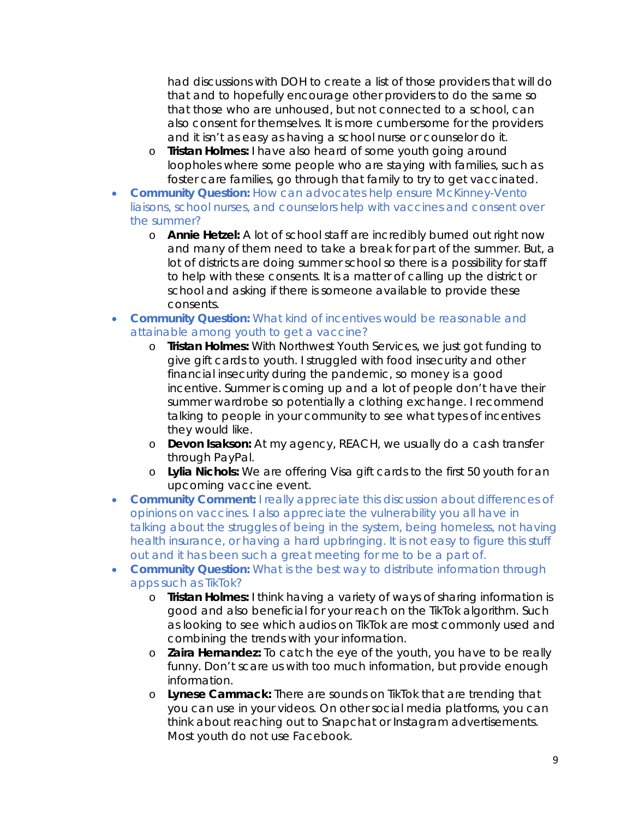had discussions with DOH to create a list of those providers that will do that and to hopefully encourage other providers to do the same so that those who are unhoused, but not connected to a school, can also consent for themselves. It is more cumbersome for the providers and it isn't as easy as having a school nurse or counselor do it.

- o **Tristan Holmes:** I have also heard of some youth going around loopholes where some people who are staying with families, such as foster care families, go through that family to try to get vaccinated.
- *Community Question: How can advocates help ensure McKinney-Vento liaisons, school nurses, and counselors help with vaccines and consent over the summer?* 
	- o **Annie Hetzel:** A lot of school staff are incredibly burned out right now and many of them need to take a break for part of the summer. But, a lot of districts are doing summer school so there is a possibility for staff to help with these consents. It is a matter of calling up the district or school and asking if there is someone available to provide these consents.
- *Community Question: What kind of incentives would be reasonable and attainable among youth to get a vaccine?* 
	- o **Tristan Holmes:** With Northwest Youth Services, we just got funding to give gift cards to youth. I struggled with food insecurity and other financial insecurity during the pandemic, so money is a good incentive. Summer is coming up and a lot of people don't have their summer wardrobe so potentially a clothing exchange. I recommend talking to people in your community to see what types of incentives they would like.
	- o **Devon Isakson:** At my agency, REACH, we usually do a cash transfer through PayPal.
	- o **Lylia Nichols:** We are offering Visa gift cards to the first 50 youth for an upcoming vaccine event.
- *Community Comment: I really appreciate this discussion about differences of opinions on vaccines. I also appreciate the vulnerability you all have in*  talking about the struggles of being in the system, being homeless, not having *health insurance, or having a hard upbringing. It is not easy to figure this stuff out and it has been such a great meeting for me to be a part of.*
- *Community Question: What is the best way to distribute information through apps such as TikTok?* 
	- o **Tristan Holmes:** I think having a variety of ways of sharing information is good and also beneficial for your reach on the TikTok algorithm. Such as looking to see which audios on TikTok are most commonly used and combining the trends with your information.
	- o **Zaira Hernandez:** To catch the eye of the youth, you have to be really funny. Don't scare us with too much information, but provide enough information.
	- o **Lynese Cammack:** There are sounds on TikTok that are trending that you can use in your videos. On other social media platforms, you can think about reaching out to Snapchat or Instagram advertisements. Most youth do not use Facebook.